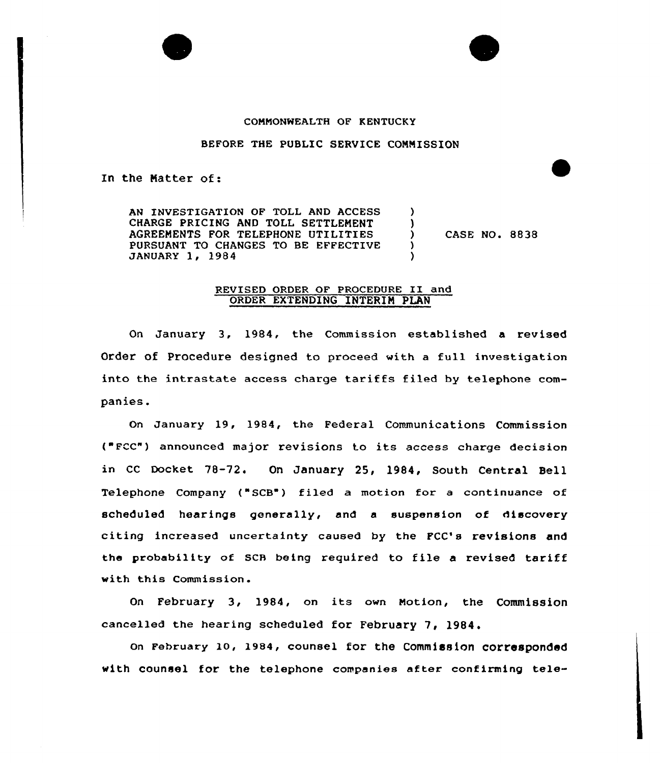## COMMONWEALTH OF KENTUCKY

## BEFORE THE PUBLIC SERVICE CONNISSION

In the Natter of:

AN INVESTIGATION OF TOLL AND ACCESS CHARGE PRICING AND TOLL SETTLENENT 1 AGREENENTS POR TELEPHONE UTILITIES CASE NO. 8838  $\lambda$ PURSUANT TO CHANGES TO BE EFFECTIVE  $\lambda$ JANUARY 1, 1984  $\lambda$ 

## REVISED ORDER OF PROCEDURE II and ORDER EXTENDING INTERIN PLAN

On January 3, 1984, the Commission established a revised Order of Procedure designed to proceed with a full investigation into the intrastate access charge tariffs filed by telephone companies.

On January 19, 1984, the Federal Communications Commission ( Fcc") announced major revisions to its access charge decision in CC Docket 78-72. On January 25, 1984, South Central Bell Telephone Company ("SCB") filed a motion for a continuance of scheduled hearings generally, and a suspension of discovery citing increased uncertainty caused by the PCC's revisions and the probability of SCB being required to file <sup>a</sup> revised tariff with this Commission.

On February 3, 1984, on its own Motion, the Commission cancelled the hearing scheduled for February 7, 1984.

On February lO, 1984, counsel for the Commission corresponded with counsel for the telephone companies after confirming tele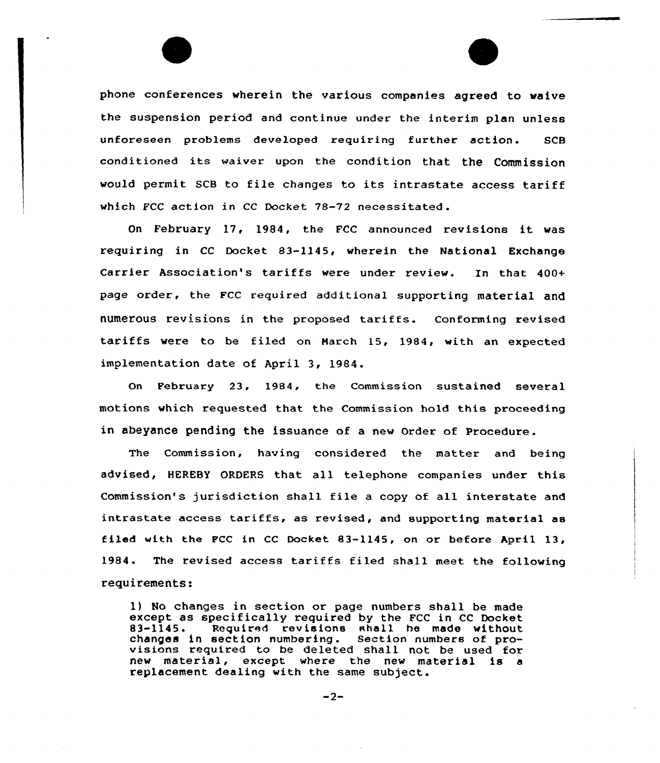phone conferences wherein the various companies agreed to waive the suspension period and continue under the interim plan unless unforeseen problems developed requiring further action. SCB conditioned its waiver upon the condition that the Commission would permit SCB to file changes to its intrastate access tariff which FCC action in CC Docket 78-72 necessitated.

On February 17, 1984, the FCC announced revisions it was requiring in CC Docket 83-1145, wherein the National Exchange Carrier Association's tariffs were under review. In that 400+ page order, the FCC required additional supporting material and numerous revisions in the proposed tariffs. conforming revised tariffs were to be filed on Narch 15, 1984, with an expected implementation date of April 3, 1984.

On February 23, 1984, the Commission sustained several motions which requested that the Commission hold this proceeding in abeyance pending the issuance of a new order of procedure.

The Commission, having considered the matter and being advised, HEREBy ORDERS that all telephone companies under this Commission's jurisdiction shall file <sup>a</sup> copy of all interstate and intrastate access tariffs, as revised, and supporting material as filed with the FCC in CC Docket 83-1145, on or before April 13, 1984. The revised access tariffs filed shall meet the following requirements:

1) No changes in section or page numbers shall be made except as specifically required by the FCC in CC Docket 83-1145. Required revisions shall he made without changes in section numbering. Section numbers of pro- visions required to be deleted shall not be used for new material, except where the new material is <sup>a</sup> replacement dealing with the same subject.

 $-2-$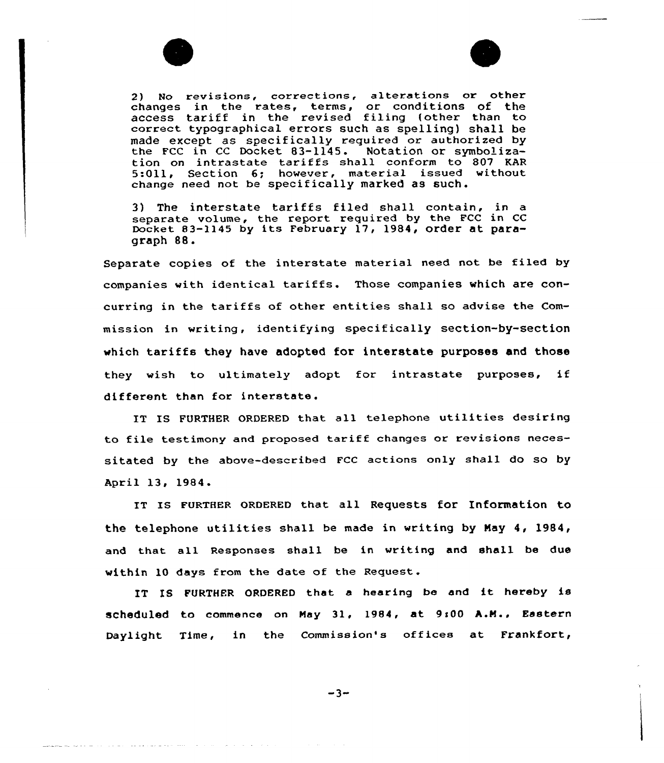

2) No revisions, corrections, alterations or other changes in the rates, terms, or conditions of the enanges in the rates, terms, or conditions of the correct typographical errors such as spelling) shall be made except as specifically required or authorized by<br>the FCC in CC Docket 83-1145. Notation or symbolizathe FCC in CC Docket  $83-1145$ . tion on intrastate tariffs shall conform to 807 KAR 5:Oll, Section 6; however, material issued without change need not be specifically marked as such.

3) The interstate tariffs filed shall contain, in a separate volume, the report required by the PCC in CC Docket 83-1145 by its February 17, 1984, order at paragraph 88.

Separate copies of the interstate material need not be filed by companies with identical tariffs. Those companies which are concurring in the tariffs of other entities shall so advise the Commission in writing, identifying specifically section-by-section which tariffs they have adopted for interstate purposes and those they wish to ultimately adopt for intrastate purposes, if different than for interstate.

IT IS FURTHER ORDERED that all telephone utilities desiring to file testimony and proposed tariff changes or revisions necessitated by the above-described FCC actions only shall do so by April 13, 1984.

IT Is FURTHER oRDERED that all Requests for Information to the telephone utilities shall be made in writing by May 4, 1984, and that all Responses shall be in writing and shall be due within 10 days from the date of the Request.

IT IS FURTHER ORDERED that <sup>a</sup> hearing be and it hereby is scheduled to commence on May 31, 1984, at 9:00 A.M., Eastern Daylight Time, in the Commission's offices at Frankfort,

 $-3-$ 

والتراجي والمحارب والمساري المراب المراد بمجتزئ وجواهر وسيتوجأ والمنافر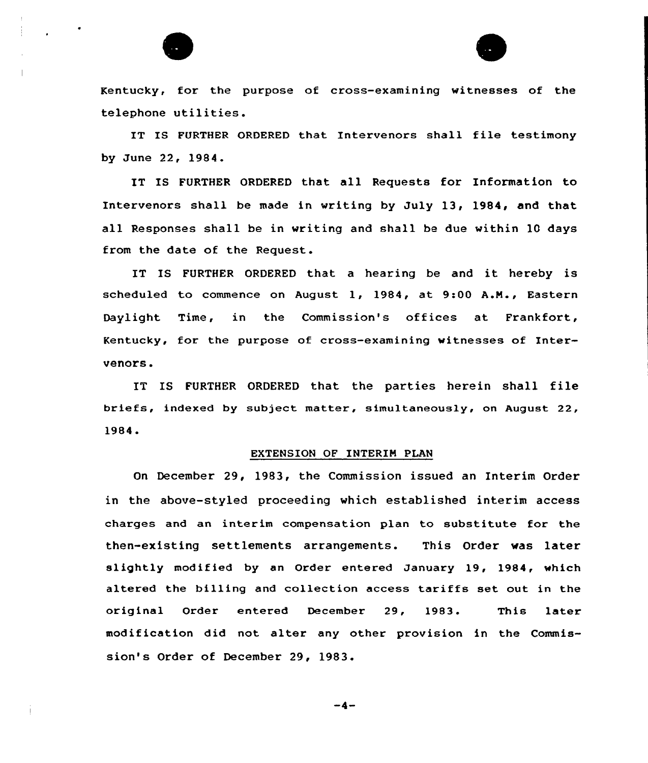

Kentucky, for the purpose of cross-examining witnesses of the telephone utilities.

IT IS FURTHER ORDERED that Intervenors shall file testimony by June 22, 1984.

IT IS FURTHER ORDERED that all Requests for Information to Intervenors shall be made in writing by July 13, 1984, and that all Responses shall be in writing and shall be due within 10 days from the date of the Request.

IT IS FURTHER ORDERED that a hearing be and it hereby is scheduled to commence on August 1, 1984, at 9:00 A.M., Eastern Daylight Time, in the Commission's offices at Frankfort, Kentucky, for the purpose of cross-examining witnesses of Intervenors.

IT IS FURTHER ORDERED that the parties herein shall file briefs, indexed by subject matter, simultaneously, on August 22, 1984.<br>EXTENSION OF INTERIM PLAN

On December 29, 1983, the Commission issued an Interim Order in the above-styled proceeding which established interim access charges and an interim compensation plan to substitute for the then-existing settlements arrangements. This Order was later slightly modified by an Order entered January 19, 1984, which altered the billing and collection access tariffs set out in the original Order entered December 29, 1983. This later modification did not alter any other provision in the Commission's Order of December 29, 1983.

 $-4-$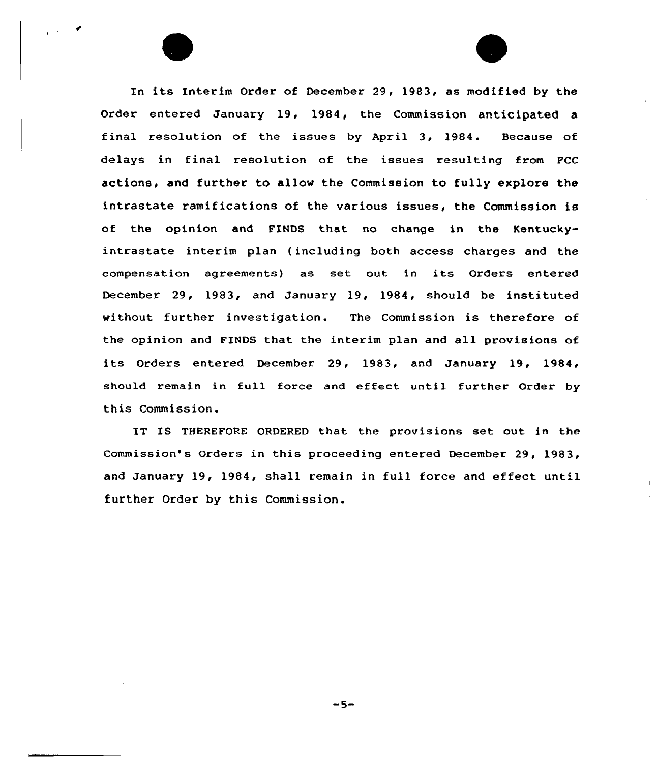In its Interim Order of December 29, 1983, as modified by the Order entered January 19, 1984, the Commission anticipated a final resolution of the issues by April 3, 1984. Because of delays in final resolution of the issues resulting from FCC actions, and further to allow the Commission to fully explore the intrastate ramifications of the various issues, the Commission is of the opinion and FINDS that no change in the Kentuckyintrastate interim plan {including both access charges and the compensation agreements) as set out in its Orders entered December 29, 1983, and January 19, 1984, should be instituted without further investigation. The Commission is therefore of the opinion and FINDS that the interim plan and all provisions of its Orders entered December 29, 1983, and January 19, 1984, should remain in full force and effect until further Order by this Commission.

 $\sim 10^{-2}$ 

IT IS THEREFORE ORDERED that the provisions set out in the Commission's Orders in this proceeding entered December 29, 1983, and January 19, 1984, shall remain in full force and effect until further Order by this Commission.

 $-5-$